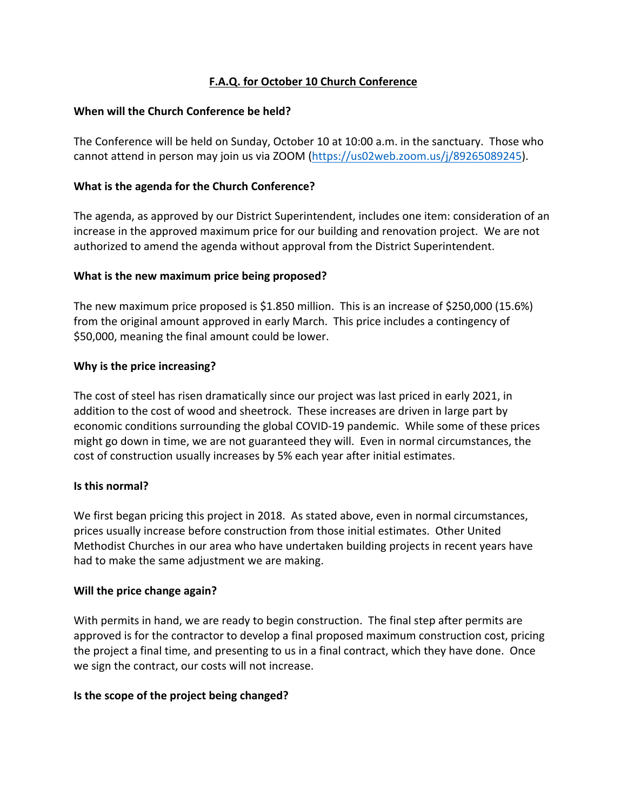# **F.A.Q. for October 10 Church Conference**

## **When will the Church Conference be held?**

The Conference will be held on Sunday, October 10 at 10:00 a.m. in the sanctuary. Those who cannot attend in person may join us via ZOOM (https://us02web.zoom.us/j/89265089245).

## **What is the agenda for the Church Conference?**

The agenda, as approved by our District Superintendent, includes one item: consideration of an increase in the approved maximum price for our building and renovation project. We are not authorized to amend the agenda without approval from the District Superintendent.

## **What is the new maximum price being proposed?**

The new maximum price proposed is \$1.850 million. This is an increase of \$250,000 (15.6%) from the original amount approved in early March. This price includes a contingency of \$50,000, meaning the final amount could be lower.

## **Why is the price increasing?**

The cost of steel has risen dramatically since our project was last priced in early 2021, in addition to the cost of wood and sheetrock. These increases are driven in large part by economic conditions surrounding the global COVID-19 pandemic. While some of these prices might go down in time, we are not guaranteed they will. Even in normal circumstances, the cost of construction usually increases by 5% each year after initial estimates.

#### **Is this normal?**

We first began pricing this project in 2018. As stated above, even in normal circumstances, prices usually increase before construction from those initial estimates. Other United Methodist Churches in our area who have undertaken building projects in recent years have had to make the same adjustment we are making.

#### **Will the price change again?**

With permits in hand, we are ready to begin construction. The final step after permits are approved is for the contractor to develop a final proposed maximum construction cost, pricing the project a final time, and presenting to us in a final contract, which they have done. Once we sign the contract, our costs will not increase.

#### **Is the scope of the project being changed?**